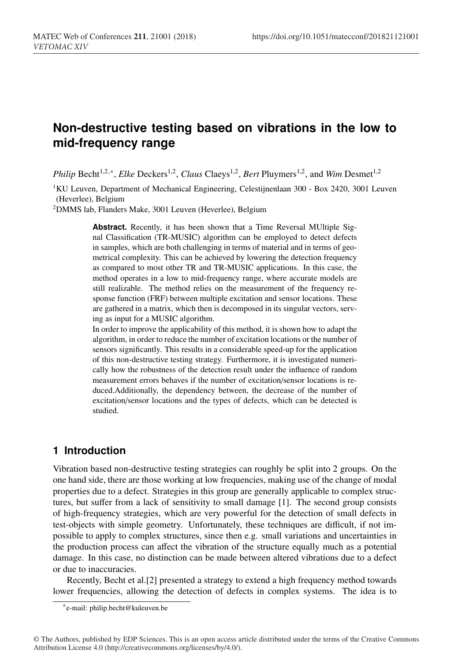# **Non-destructive testing based on vibrations in the low to mid-frequency range**

*Philip* Becht<sup>1,2,∗</sup>, *Elke* Deckers<sup>1,2</sup>, *Claus* Claeys<sup>1,2</sup>, *Bert* Pluymers<sup>1,2</sup>, and *Wim* Desmet<sup>1,2</sup>

<sup>1</sup>KU Leuven, Department of Mechanical Engineering, Celestijnenlaan 300 - Box 2420, 3001 Leuven (Heverlee), Belgium

2DMMS lab, Flanders Make, 3001 Leuven (Heverlee), Belgium

**Abstract.** Recently, it has been shown that a Time Reversal MUltiple Signal Classification (TR-MUSIC) algorithm can be employed to detect defects in samples, which are both challenging in terms of material and in terms of geometrical complexity. This can be achieved by lowering the detection frequency as compared to most other TR and TR-MUSIC applications. In this case, the method operates in a low to mid-frequency range, where accurate models are still realizable. The method relies on the measurement of the frequency response function (FRF) between multiple excitation and sensor locations. These are gathered in a matrix, which then is decomposed in its singular vectors, serving as input for a MUSIC algorithm.

In order to improve the applicability of this method, it is shown how to adapt the algorithm, in order to reduce the number of excitation locations or the number of sensors significantly. This results in a considerable speed-up for the application of this non-destructive testing strategy. Furthermore, it is investigated numerically how the robustness of the detection result under the influence of random measurement errors behaves if the number of excitation/sensor locations is reduced.Additionally, the dependency between, the decrease of the number of excitation/sensor locations and the types of defects, which can be detected is studied.

# **1 Introduction**

Vibration based non-destructive testing strategies can roughly be split into 2 groups. On the one hand side, there are those working at low frequencies, making use of the change of modal properties due to a defect. Strategies in this group are generally applicable to complex structures, but suffer from a lack of sensitivity to small damage [1]. The second group consists of high-frequency strategies, which are very powerful for the detection of small defects in test-objects with simple geometry. Unfortunately, these techniques are difficult, if not impossible to apply to complex structures, since then e.g. small variations and uncertainties in the production process can affect the vibration of the structure equally much as a potential damage. In this case, no distinction can be made between altered vibrations due to a defect or due to inaccuracies.

Recently, Becht et al.[2] presented a strategy to extend a high frequency method towards lower frequencies, allowing the detection of defects in complex systems. The idea is to

<sup>∗</sup>e-mail: philip.becht@kuleuven.be

<sup>©</sup> The Authors, published by EDP Sciences. This is an open access article distributed under the terms of the Creative Commons Attribution License 4.0 (http://creativecommons.org/licenses/by/4.0/).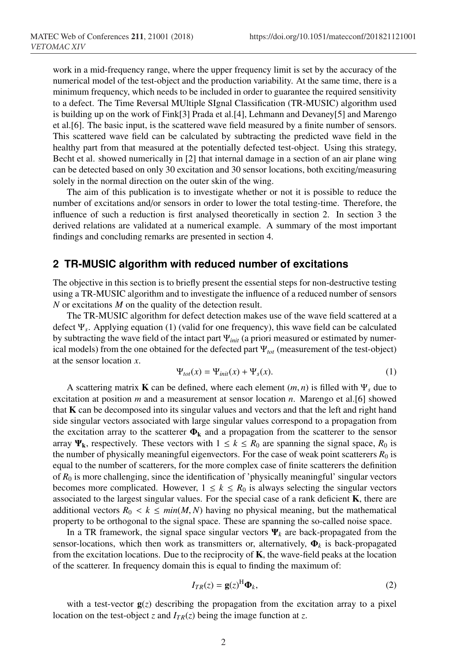work in a mid-frequency range, where the upper frequency limit is set by the accuracy of the numerical model of the test-object and the production variability. At the same time, there is a minimum frequency, which needs to be included in order to guarantee the required sensitivity to a defect. The Time Reversal MUltiple SIgnal Classification (TR-MUSIC) algorithm used is building up on the work of Fink[3] Prada et al.[4], Lehmann and Devaney[5] and Marengo et al.[6]. The basic input, is the scattered wave field measured by a finite number of sensors. This scattered wave field can be calculated by subtracting the predicted wave field in the healthy part from that measured at the potentially defected test-object. Using this strategy, Becht et al. showed numerically in [2] that internal damage in a section of an air plane wing can be detected based on only 30 excitation and 30 sensor locations, both exciting/measuring solely in the normal direction on the outer skin of the wing.

The aim of this publication is to investigate whether or not it is possible to reduce the number of excitations and/or sensors in order to lower the total testing-time. Therefore, the influence of such a reduction is first analysed theoretically in section 2. In section 3 the derived relations are validated at a numerical example. A summary of the most important findings and concluding remarks are presented in section 4.

### **2 TR-MUSIC algorithm with reduced number of excitations**

The objective in this section is to briefly present the essential steps for non-destructive testing using a TR-MUSIC algorithm and to investigate the influence of a reduced number of sensors *N* or excitations *M* on the quality of the detection result.

The TR-MUSIC algorithm for defect detection makes use of the wave field scattered at a defect Ψ*s*. Applying equation (1) (valid for one frequency), this wave field can be calculated by subtracting the wave field of the intact part Ψ*init* (a priori measured or estimated by numerical models) from the one obtained for the defected part Ψ*tot* (measurement of the test-object) at the sensor location *x*.

$$
\Psi_{tot}(x) = \Psi_{init}(x) + \Psi_s(x). \tag{1}
$$

A scattering matrix **K** can be defined, where each element  $(m, n)$  is filled with  $\Psi_s$  due to excitation at position *m* and a measurement at sensor location *n*. Marengo et al.[6] showed that  $K$  can be decomposed into its singular values and vectors and that the left and right hand side singular vectors associated with large singular values correspond to a propagation from the excitation array to the scatterer  $\Phi_k$  and a propagation from the scatterer to the sensor array  $\Psi_k$ , respectively. These vectors with  $1 \leq k \leq R_0$  are spanning the signal space,  $R_0$  is the number of physically meaningful eigenvectors. For the case of weak point scatterers  $R_0$  is equal to the number of scatterers, for the more complex case of finite scatterers the definition of *R*<sup>0</sup> is more challenging, since the identification of 'physically meaningful' singular vectors becomes more complicated. However,  $1 \leq k \leq R_0$  is always selecting the singular vectors associated to the largest singular values. For the special case of a rank deficient K, there are additional vectors  $R_0 < k \leq min(M, N)$  having no physical meaning, but the mathematical property to be orthogonal to the signal space. These are spanning the so-called noise space.

In a TR framework, the signal space singular vectors  $\Psi_k$  are back-propagated from the sensor-locations, which then work as transmitters or, alternatively, Φ*<sup>k</sup>* is back-propagated from the excitation locations. Due to the reciprocity of  $K$ , the wave-field peaks at the location of the scatterer. In frequency domain this is equal to finding the maximum of:

$$
I_{TR}(z) = \mathbf{g}(z)^{\mathrm{H}} \mathbf{\Phi}_k,\tag{2}
$$

with a test-vector  $g(z)$  describing the propagation from the excitation array to a pixel location on the test-object *z* and  $I_{TR}(z)$  being the image function at *z*.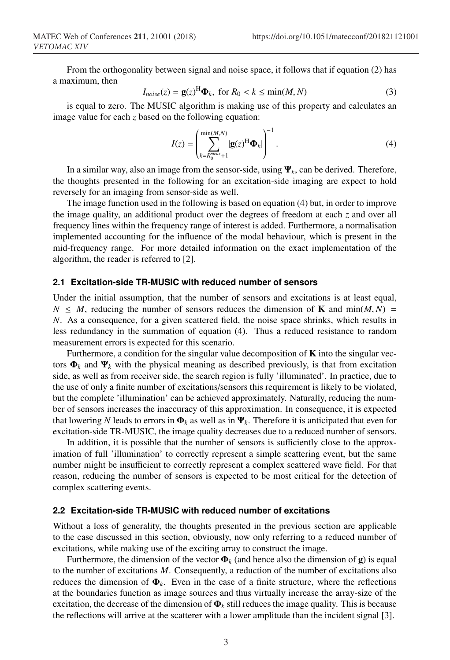From the orthogonality between signal and noise space, it follows that if equation (2) has a maximum, then

$$
I_{noise}(z) = \mathbf{g}(z)^{\mathrm{H}} \mathbf{\Phi}_k, \text{ for } R_0 < k \le \min(M, N) \tag{3}
$$

is equal to zero. The MUSIC algorithm is making use of this property and calculates an image value for each *z* based on the following equation:

$$
I(z) = \left(\sum_{k=R_0^{meas}+1}^{\min(M,N)} |\mathbf{g}(z)^{\mathrm{H}} \mathbf{\Phi}_k|\right)^{-1}.
$$
 (4)

In a similar way, also an image from the sensor-side, using Ψ*k*, can be derived. Therefore, the thoughts presented in the following for an excitation-side imaging are expect to hold reversely for an imaging from sensor-side as well.

The image function used in the following is based on equation (4) but, in order to improve the image quality, an additional product over the degrees of freedom at each *z* and over all frequency lines within the frequency range of interest is added. Furthermore, a normalisation implemented accounting for the influence of the modal behaviour, which is present in the mid-frequency range. For more detailed information on the exact implementation of the algorithm, the reader is referred to [2].

#### **2.1 Excitation-side TR-MUSIC with reduced number of sensors**

Under the initial assumption, that the number of sensors and excitations is at least equal,  $N \leq M$ , reducing the number of sensors reduces the dimension of **K** and min $(M, N)$  = *N*. As a consequence, for a given scattered field, the noise space shrinks, which results in less redundancy in the summation of equation (4). Thus a reduced resistance to random measurement errors is expected for this scenario.

Furthermore, a condition for the singular value decomposition of  **into the singular vec**tors  $\Phi_k$  and  $\Psi_k$  with the physical meaning as described previously, is that from excitation side, as well as from receiver side, the search region is fully 'illuminated'. In practice, due to the use of only a finite number of excitations/sensors this requirement is likely to be violated, but the complete 'illumination' can be achieved approximately. Naturally, reducing the number of sensors increases the inaccuracy of this approximation. In consequence, it is expected that lowering *N* leads to errors in  $\Phi_k$  as well as in  $\Psi_k$ . Therefore it is anticipated that even for excitation-side TR-MUSIC, the image quality decreases due to a reduced number of sensors.

In addition, it is possible that the number of sensors is sufficiently close to the approximation of full 'illumination' to correctly represent a simple scattering event, but the same number might be insufficient to correctly represent a complex scattered wave field. For that reason, reducing the number of sensors is expected to be most critical for the detection of complex scattering events.

#### **2.2 Excitation-side TR-MUSIC with reduced number of excitations**

Without a loss of generality, the thoughts presented in the previous section are applicable to the case discussed in this section, obviously, now only referring to a reduced number of excitations, while making use of the exciting array to construct the image.

Furthermore, the dimension of the vector  $\Phi_k$  (and hence also the dimension of **g**) is equal to the number of excitations *M*. Consequently, a reduction of the number of excitations also reduces the dimension of  $\Phi_k$ . Even in the case of a finite structure, where the reflections at the boundaries function as image sources and thus virtually increase the array-size of the excitation, the decrease of the dimension of  $\Phi_k$  still reduces the image quality. This is because the reflections will arrive at the scatterer with a lower amplitude than the incident signal [3].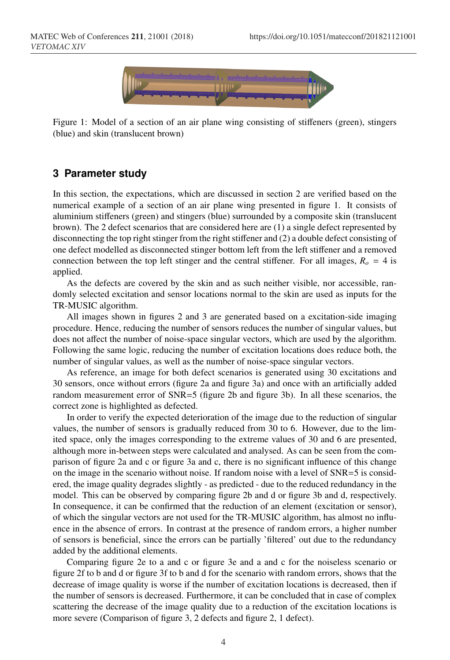

Figure 1: Model of a section of an air plane wing consisting of stiffeners (green), stingers (blue) and skin (translucent brown)

### **3 Parameter study**

In this section, the expectations, which are discussed in section 2 are verified based on the numerical example of a section of an air plane wing presented in figure 1. It consists of aluminium stiffeners (green) and stingers (blue) surrounded by a composite skin (translucent brown). The 2 defect scenarios that are considered here are (1) a single defect represented by disconnecting the top right stinger from the right stiffener and (2) a double defect consisting of one defect modelled as disconnected stinger bottom left from the left stiffener and a removed connection between the top left stinger and the central stiffener. For all images,  $R_o = 4$  is applied.

As the defects are covered by the skin and as such neither visible, nor accessible, randomly selected excitation and sensor locations normal to the skin are used as inputs for the TR-MUSIC algorithm.

All images shown in figures 2 and 3 are generated based on a excitation-side imaging procedure. Hence, reducing the number of sensors reduces the number of singular values, but does not affect the number of noise-space singular vectors, which are used by the algorithm. Following the same logic, reducing the number of excitation locations does reduce both, the number of singular values, as well as the number of noise-space singular vectors.

As reference, an image for both defect scenarios is generated using 30 excitations and 30 sensors, once without errors (figure 2a and figure 3a) and once with an artificially added random measurement error of SNR=5 (figure 2b and figure 3b). In all these scenarios, the correct zone is highlighted as defected.

In order to verify the expected deterioration of the image due to the reduction of singular values, the number of sensors is gradually reduced from 30 to 6. However, due to the limited space, only the images corresponding to the extreme values of 30 and 6 are presented, although more in-between steps were calculated and analysed. As can be seen from the comparison of figure 2a and c or figure 3a and c, there is no significant influence of this change on the image in the scenario without noise. If random noise with a level of SNR=5 is considered, the image quality degrades slightly - as predicted - due to the reduced redundancy in the model. This can be observed by comparing figure 2b and d or figure 3b and d, respectively. In consequence, it can be confirmed that the reduction of an element (excitation or sensor), of which the singular vectors are not used for the TR-MUSIC algorithm, has almost no influence in the absence of errors. In contrast at the presence of random errors, a higher number of sensors is beneficial, since the errors can be partially 'filtered' out due to the redundancy added by the additional elements.

Comparing figure 2e to a and c or figure 3e and a and c for the noiseless scenario or figure 2f to b and d or figure 3f to b and d for the scenario with random errors, shows that the decrease of image quality is worse if the number of excitation locations is decreased, then if the number of sensors is decreased. Furthermore, it can be concluded that in case of complex scattering the decrease of the image quality due to a reduction of the excitation locations is more severe (Comparison of figure 3, 2 defects and figure 2, 1 defect).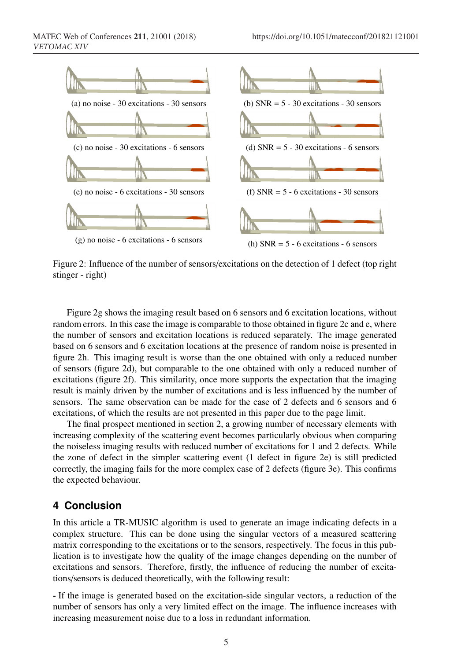

Figure 2: Influence of the number of sensors/excitations on the detection of 1 defect (top right stinger - right)

Figure 2g shows the imaging result based on 6 sensors and 6 excitation locations, without random errors. In this case the image is comparable to those obtained in figure 2c and e, where the number of sensors and excitation locations is reduced separately. The image generated based on 6 sensors and 6 excitation locations at the presence of random noise is presented in figure 2h. This imaging result is worse than the one obtained with only a reduced number of sensors (figure 2d), but comparable to the one obtained with only a reduced number of excitations (figure 2f). This similarity, once more supports the expectation that the imaging result is mainly driven by the number of excitations and is less influenced by the number of sensors. The same observation can be made for the case of 2 defects and 6 sensors and 6 excitations, of which the results are not presented in this paper due to the page limit.

The final prospect mentioned in section 2, a growing number of necessary elements with increasing complexity of the scattering event becomes particularly obvious when comparing the noiseless imaging results with reduced number of excitations for 1 and 2 defects. While the zone of defect in the simpler scattering event (1 defect in figure 2e) is still predicted correctly, the imaging fails for the more complex case of 2 defects (figure 3e). This confirms the expected behaviour.

# **4 Conclusion**

In this article a TR-MUSIC algorithm is used to generate an image indicating defects in a complex structure. This can be done using the singular vectors of a measured scattering matrix corresponding to the excitations or to the sensors, respectively. The focus in this publication is to investigate how the quality of the image changes depending on the number of excitations and sensors. Therefore, firstly, the influence of reducing the number of excitations/sensors is deduced theoretically, with the following result:

- If the image is generated based on the excitation-side singular vectors, a reduction of the number of sensors has only a very limited effect on the image. The influence increases with increasing measurement noise due to a loss in redundant information.